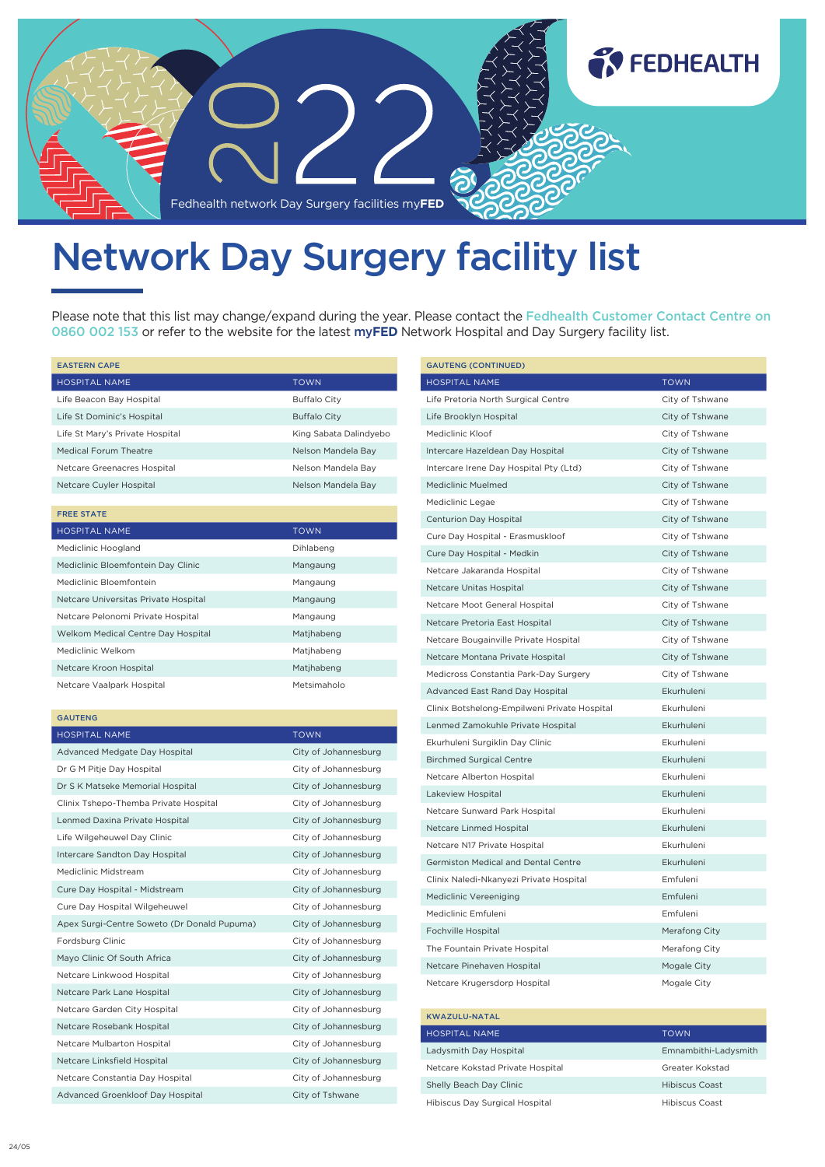

# Network Day Surgery facility list

Please note that this list may change/expand during the year. Please contact the Fedhealth Customer Contact Centre on 0860 002 153 or refer to the website for the latest my**FED** Network Hospital and Day Surgery facility list.

| <b>EASTERN CAPE</b>                  |                        |
|--------------------------------------|------------------------|
| <b>HOSPITAL NAME</b>                 | <b>TOWN</b>            |
| Life Beacon Bay Hospital             | <b>Buffalo City</b>    |
| Life St Dominic's Hospital           | <b>Buffalo City</b>    |
| Life St Mary's Private Hospital      | King Sabata Dalindyebo |
| <b>Medical Forum Theatre</b>         | Nelson Mandela Bay     |
| Netcare Greenacres Hospital          | Nelson Mandela Bay     |
| Netcare Cuyler Hospital              | Nelson Mandela Bay     |
|                                      |                        |
| <b>FREE STATE</b>                    |                        |
| <b>HOSPITAL NAME</b>                 | <b>TOWN</b>            |
| Mediclinic Hoogland                  | Dihlabeng              |
| Mediclinic Bloemfontein Day Clinic   | Mangaung               |
| Mediclinic Bloemfontein              | Mangaung               |
| Netcare Universitas Private Hospital | Mangaung               |
| Netcare Pelonomi Private Hospital    | Mangaung               |
| Welkom Medical Centre Day Hospital   | Matjhabeng             |
| Mediclinic Welkom                    | Matihabeng             |
| Netcare Kroon Hospital               | Matjhabeng             |
| Netcare Vaalpark Hospital            | Metsimaholo            |
| <b>GAUTENG</b>                       |                        |
| <b>HOSPITAL NAME</b>                 | <b>TOWN</b>            |
| Advanced Medgate Day Hospital        | City of Johannesburg   |
| Dr G M Pitje Day Hospital            | City of Johannesburg   |
|                                      |                        |

| Dr G M Pitje Day Hospital                   | City of Johannesburg |
|---------------------------------------------|----------------------|
| Dr S K Matseke Memorial Hospital            | City of Johannesburg |
| Clinix Tshepo-Themba Private Hospital       | City of Johannesburg |
| Lenmed Daxina Private Hospital              | City of Johannesburg |
| Life Wilgeheuwel Day Clinic                 | City of Johannesburg |
| Intercare Sandton Day Hospital              | City of Johannesburg |
| Mediclinic Midstream                        | City of Johannesburg |
| Cure Day Hospital - Midstream               | City of Johannesburg |
| Cure Day Hospital Wilgeheuwel               | City of Johannesburg |
| Apex Surgi-Centre Soweto (Dr Donald Pupuma) | City of Johannesburg |
| Fordsburg Clinic                            | City of Johannesburg |
| Mayo Clinic Of South Africa                 | City of Johannesburg |
| Netcare Linkwood Hospital                   | City of Johannesburg |
| Netcare Park Lane Hospital                  | City of Johannesburg |
| Netcare Garden City Hospital                | City of Johannesburg |
| Netcare Rosebank Hospital                   | City of Johannesburg |
| Netcare Mulbarton Hospital                  | City of Johannesburg |
| Netcare Linksfield Hospital                 | City of Johannesburg |
| Netcare Constantia Day Hospital             | City of Johannesburg |
| Advanced Groenkloof Day Hospital            | City of Tshwane      |

| <b>GAUTENG (CONTINUED)</b>                   |                 |
|----------------------------------------------|-----------------|
| <b>HOSPITAL NAME</b>                         | <b>TOWN</b>     |
| Life Pretoria North Surgical Centre          | City of Tshwane |
| Life Brooklyn Hospital                       | City of Tshwane |
| Mediclinic Kloof                             | City of Tshwane |
| Intercare Hazeldean Day Hospital             | City of Tshwane |
| Intercare Irene Day Hospital Pty (Ltd)       | City of Tshwane |
| Mediclinic Muelmed                           | City of Tshwane |
| Mediclinic Legae                             | City of Tshwane |
| Centurion Day Hospital                       | City of Tshwane |
| Cure Day Hospital - Erasmuskloof             | City of Tshwane |
| Cure Day Hospital - Medkin                   | City of Tshwane |
| Netcare Jakaranda Hospital                   | City of Tshwane |
| Netcare Unitas Hospital                      | City of Tshwane |
| Netcare Moot General Hospital                | City of Tshwane |
| Netcare Pretoria East Hospital               | City of Tshwane |
| Netcare Bougainville Private Hospital        | City of Tshwane |
| Netcare Montana Private Hospital             | City of Tshwane |
| Medicross Constantia Park-Day Surgery        | City of Tshwane |
| Advanced East Rand Day Hospital              | Ekurhuleni      |
| Clinix Botshelong-Empilweni Private Hospital | Ekurhuleni      |
| Lenmed Zamokuhle Private Hospital            | Ekurhuleni      |
| Ekurhuleni Surgiklin Day Clinic              | Ekurhuleni      |
| <b>Birchmed Surgical Centre</b>              | Ekurhuleni      |
| Netcare Alberton Hospital                    | Ekurhuleni      |
| Lakeview Hospital                            | Ekurhuleni      |
| Netcare Sunward Park Hospital                | Ekurhuleni      |
| Netcare Linmed Hospital                      | Ekurhuleni      |
| Netcare N17 Private Hospital                 | Ekurhuleni      |
| Germiston Medical and Dental Centre          | Ekurhuleni      |
| Clinix Naledi-Nkanyezi Private Hospital      | Emfuleni        |
| Mediclinic Vereeniging                       | Emfuleni        |
| Mediclinic Emfuleni                          | Emfuleni        |
| Fochville Hospital                           | Merafong City   |
| The Fountain Private Hospital                | Merafong City   |
| Netcare Pinehaven Hospital                   | Mogale City     |
| Netcare Krugersdorp Hospital                 | Mogale City     |

## KWAZULU-NATAL

| <b>HOSPITAL NAME</b>             | <b>TOWN</b>           |
|----------------------------------|-----------------------|
| Ladysmith Day Hospital           | Emnambithi-Ladysmith  |
| Netcare Kokstad Private Hospital | Greater Kokstad       |
| Shelly Beach Day Clinic          | Hibiscus Coast        |
| Hibiscus Day Surgical Hospital   | <b>Hibiscus Coast</b> |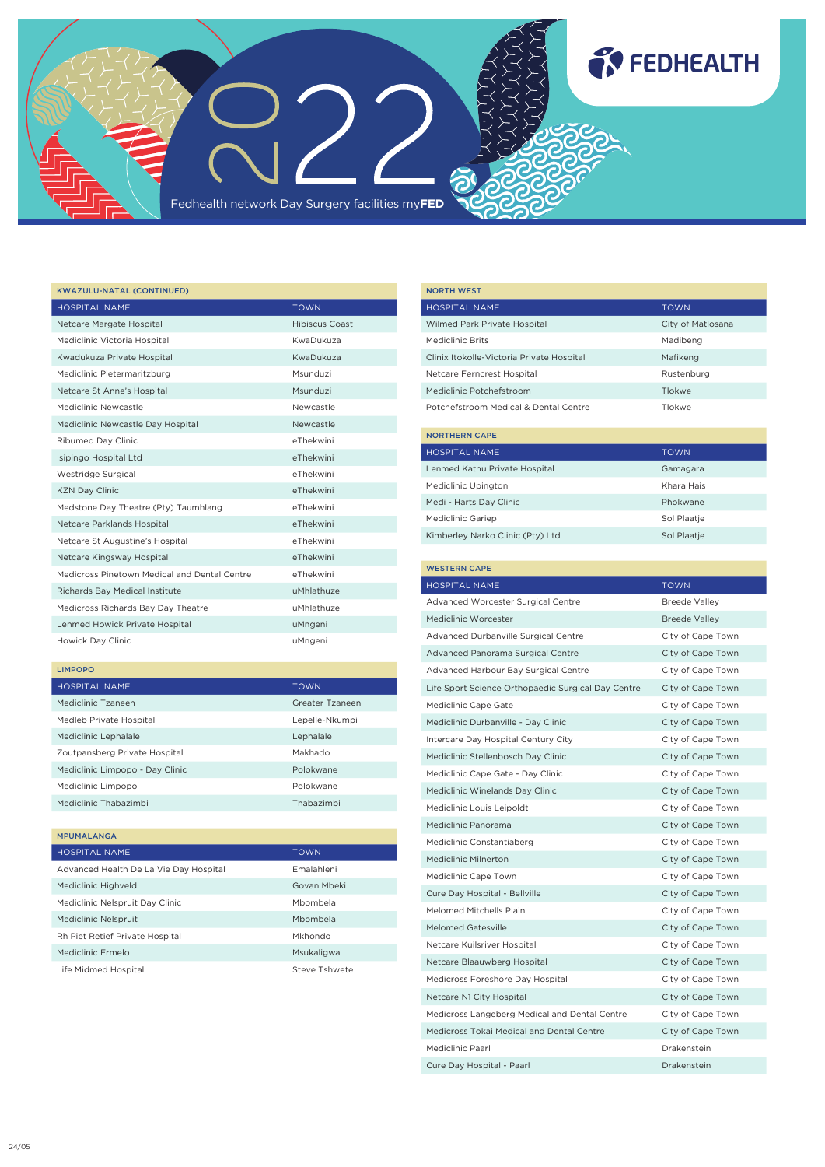

| <b>KWAZULU-NATAL (CONTINUED)</b>             |                |
|----------------------------------------------|----------------|
| <b>HOSPITAL NAME</b>                         | <b>TOWN</b>    |
| Netcare Margate Hospital                     | Hibiscus Coast |
| Mediclinic Victoria Hospital                 | KwaDukuza      |
| Kwadukuza Private Hospital                   | KwaDukuza      |
| Mediclinic Pietermaritzburg                  | Msunduzi       |
| Netcare St Anne's Hospital                   | Msunduzi       |
| Mediclinic Newcastle                         | Newcastle      |
| Mediclinic Newcastle Day Hospital            | Newcastle      |
| Ribumed Day Clinic                           | eThekwini      |
| Isipingo Hospital Ltd                        | eThekwini      |
| Westridge Surgical                           | eThekwini      |
| <b>KZN Day Clinic</b>                        | eThekwini      |
| Medstone Day Theatre (Pty) Taumhlang         | eThekwini      |
| Netcare Parklands Hospital                   | eThekwini      |
| Netcare St Augustine's Hospital              | eThekwini      |
| Netcare Kingsway Hospital                    | eThekwini      |
| Medicross Pinetown Medical and Dental Centre | eThekwini      |
| Richards Bay Medical Institute               | uMhlathuze     |
| Medicross Richards Bay Day Theatre           | uMhlathuze     |
| Lenmed Howick Private Hospital               | uMngeni        |
| Howick Day Clinic                            | uMngeni        |

### LIMPOPO

MPUMALANGA

| <b>HOSPITAL NAME</b>            | <b>TOWN</b>     |
|---------------------------------|-----------------|
| Mediclinic Tzaneen              | Greater Tzaneen |
| Medleb Private Hospital         | Lepelle-Nkumpi  |
| Mediclinic Lephalale            | Lephalale       |
| Zoutpansberg Private Hospital   | Makhado         |
| Mediclinic Limpopo - Day Clinic | Polokwane       |
| Mediclinic Limpopo              | Polokwane       |
| Mediclinic Thabazimbi           | Thabazimbi      |

| <b><i>PPUPALANGA</i></b>               |               |
|----------------------------------------|---------------|
| <b>HOSPITAL NAME</b>                   | <b>TOWN</b>   |
| Advanced Health De La Vie Day Hospital | Fmalahleni    |
| Mediclinic Highveld                    | Govan Mbeki   |
| Mediclinic Nelspruit Day Clinic        | Mbombela      |
| Mediclinic Nelspruit                   | Mbombela      |
| Rh Piet Retief Private Hospital        | Mkhondo       |
| Mediclinic Frmelo                      | Msukaligwa    |
| Life Midmed Hospital                   | Steve Tshwete |
|                                        |               |

| <b>NORTH WEST</b>                         |                   |
|-------------------------------------------|-------------------|
| <b>HOSPITAL NAME</b>                      | <b>TOWN</b>       |
| Wilmed Park Private Hospital              | City of Matlosana |
| Mediclinic Brits                          | Madibeng          |
| Clinix Itokolle-Victoria Private Hospital | Mafikeng          |
| Netcare Ferncrest Hospital                | Rustenburg        |
| Mediclinic Potchefstroom                  | Tlokwe            |
| Potchefstroom Medical & Dental Centre     | Tlokwe            |
| <b>NORTHERN CAPE</b>                      |                   |

**TO FEDHEALTH** 

| HOSPITAL NAME                    | <b>TOWN</b> |
|----------------------------------|-------------|
| Lenmed Kathu Private Hospital    | Gamagara    |
| Mediclinic Upington              | Khara Hais  |
| Medi - Harts Day Clinic          | Phokwane    |
| <b>Mediclinic Gariep</b>         | Sol Plaatie |
| Kimberley Narko Clinic (Pty) Ltd | Sol Plaatie |

# WESTERN CAPE HOSPITAL NAME TOWN TOWN Advanced Worcester Surgical Centre Breede Valley Mediclinic Worcester Breede Valley Advanced Durbanville Surgical Centre City of Cape Town Advanced Panorama Surgical Centre City of Cape Town Advanced Harbour Bay Surgical Centre City of Cape Town Life Sport Science Orthopaedic Surgical Day Centre City of Cape Town Mediclinic Cape Gate City of Cape Town Mediclinic Durbanville - Day Clinic City of Cape Town Intercare Day Hospital Century City City City City of Cape Town Mediclinic Stellenbosch Day Clinic City of Cape Town Mediclinic Cape Gate - Day Clinic City of Cape Town Mediclinic Winelands Day Clinic City of Cape Town Mediclinic Louis Leipoldt City of Cape Town Mediclinic Panorama City of Cape Town Mediclinic Constantiaberg City of Cape Town Mediclinic Milnerton City of Cape Town Mediclinic Cape Town City of Cape Town Cure Day Hospital - Bellville City of Cape Town Melomed Mitchells Plain City of Cape Town Melomed Gatesville City of Cape Town Netcare Kuilsriver Hospital **City of Cape Town** Netcare Blaauwberg Hospital City of Cape Town Medicross Foreshore Day Hospital **City of Cape Town** Netcare N1 City Hospital City of Cape Town Medicross Langeberg Medical and Dental Centre City of Cape Town Medicross Tokai Medical and Dental Centre City of Cape Town Mediclinic Paarl Drakenstein Cure Day Hospital - Paarl Drakenstein Drakenstein